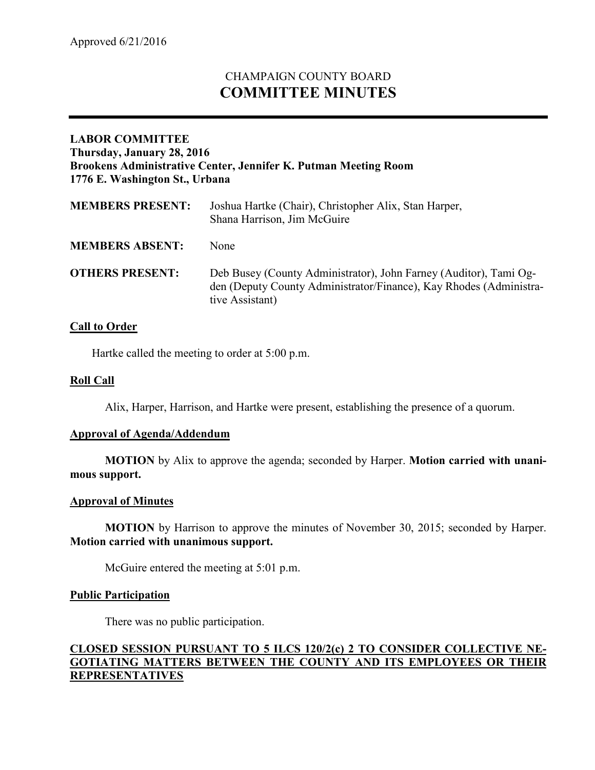# CHAMPAIGN COUNTY BOARD **COMMITTEE MINUTES**

# **LABOR COMMITTEE Thursday, January 28, 2016 Brookens Administrative Center, Jennifer K. Putman Meeting Room 1776 E. Washington St., Urbana**

| <b>MEMBERS PRESENT:</b> | Joshua Hartke (Chair), Christopher Alix, Stan Harper,<br>Shana Harrison, Jim McGuire                                                                       |
|-------------------------|------------------------------------------------------------------------------------------------------------------------------------------------------------|
| <b>MEMBERS ABSENT:</b>  | None                                                                                                                                                       |
| <b>OTHERS PRESENT:</b>  | Deb Busey (County Administrator), John Farney (Auditor), Tami Og-<br>den (Deputy County Administrator/Finance), Kay Rhodes (Administra-<br>tive Assistant) |

# **Call to Order**

Hartke called the meeting to order at 5:00 p.m.

## **Roll Call**

Alix, Harper, Harrison, and Hartke were present, establishing the presence of a quorum.

#### **Approval of Agenda/Addendum**

**MOTION** by Alix to approve the agenda; seconded by Harper. **Motion carried with unanimous support.**

#### **Approval of Minutes**

**MOTION** by Harrison to approve the minutes of November 30, 2015; seconded by Harper. **Motion carried with unanimous support.**

McGuire entered the meeting at 5:01 p.m.

#### **Public Participation**

There was no public participation.

# **CLOSED SESSION PURSUANT TO 5 ILCS 120/2(c) 2 TO CONSIDER COLLECTIVE NE-GOTIATING MATTERS BETWEEN THE COUNTY AND ITS EMPLOYEES OR THEIR REPRESENTATIVES**